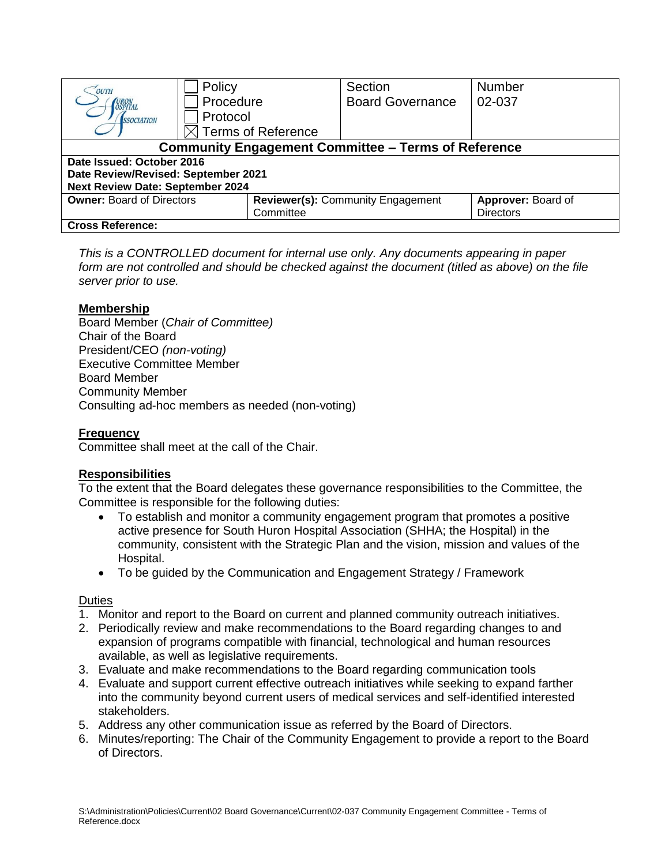| OUTH                                                       | Policy                    | Section                           | <b>Number</b>      |  |  |  |  |
|------------------------------------------------------------|---------------------------|-----------------------------------|--------------------|--|--|--|--|
| URON<br>OSPITAL                                            | Procedure                 | <b>Board Governance</b>           | 02-037             |  |  |  |  |
| <b>SSOCIATION</b>                                          | Protocol                  |                                   |                    |  |  |  |  |
|                                                            | <b>Terms of Reference</b> |                                   |                    |  |  |  |  |
| <b>Community Engagement Committee - Terms of Reference</b> |                           |                                   |                    |  |  |  |  |
| Date Issued: October 2016                                  |                           |                                   |                    |  |  |  |  |
| Date Review/Revised: September 2021                        |                           |                                   |                    |  |  |  |  |
| <b>Next Review Date: September 2024</b>                    |                           |                                   |                    |  |  |  |  |
| <b>Owner: Board of Directors</b>                           |                           | Reviewer(s): Community Engagement | Approver: Board of |  |  |  |  |
|                                                            | Committee                 |                                   | <b>Directors</b>   |  |  |  |  |
| <b>Cross Reference:</b>                                    |                           |                                   |                    |  |  |  |  |

*This is a CONTROLLED document for internal use only. Any documents appearing in paper form are not controlled and should be checked against the document (titled as above) on the file server prior to use.*

# **Membership**

Board Member (*Chair of Committee)* Chair of the Board President/CEO *(non-voting)* Executive Committee Member Board Member Community Member Consulting ad-hoc members as needed (non-voting)

#### **Frequency**

Committee shall meet at the call of the Chair.

# **Responsibilities**

To the extent that the Board delegates these governance responsibilities to the Committee, the Committee is responsible for the following duties:

- To establish and monitor a community engagement program that promotes a positive active presence for South Huron Hospital Association (SHHA; the Hospital) in the community, consistent with the Strategic Plan and the vision, mission and values of the Hospital.
- To be guided by the Communication and Engagement Strategy / Framework

#### **Duties**

- 1. Monitor and report to the Board on current and planned community outreach initiatives.
- 2. Periodically review and make recommendations to the Board regarding changes to and expansion of programs compatible with financial, technological and human resources available, as well as legislative requirements.
- 3. Evaluate and make recommendations to the Board regarding communication tools
- 4. Evaluate and support current effective outreach initiatives while seeking to expand farther into the community beyond current users of medical services and self-identified interested stakeholders.
- 5. Address any other communication issue as referred by the Board of Directors.
- 6. Minutes/reporting: The Chair of the Community Engagement to provide a report to the Board of Directors.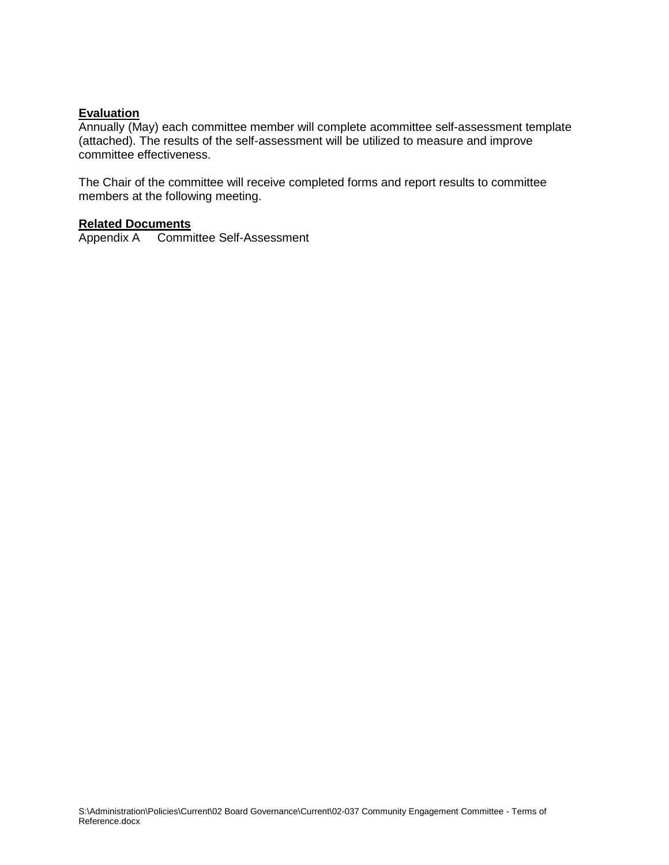## **Evaluation**

Annually (May) each committee member will complete acommittee self-assessment template (attached). The results of the self-assessment will be utilized to measure and improve committee effectiveness.

The Chair of the committee will receive completed forms and report results to committee members at the following meeting.

# **Related Documents**

Appendix A Committee Self-Assessment